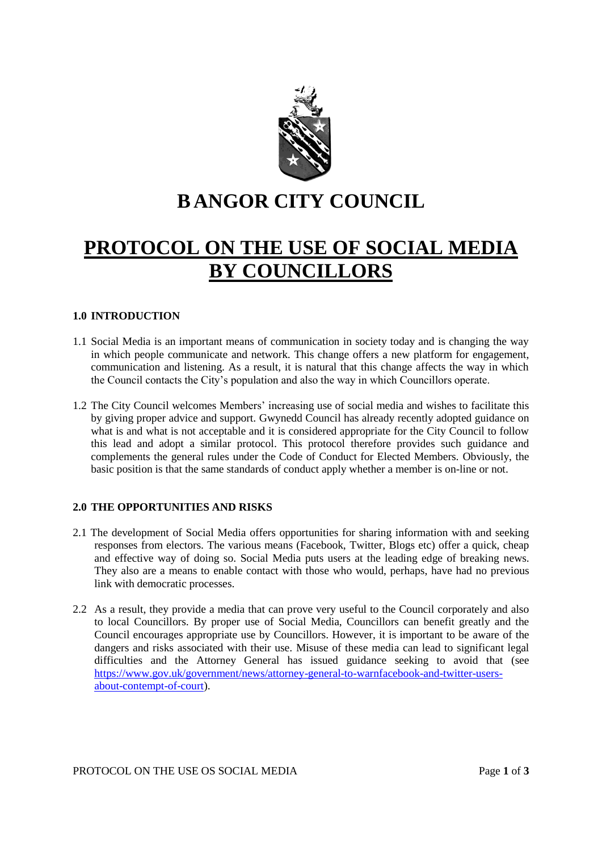

# **B ANGOR CITY COUNCIL**

# **PROTOCOL ON THE USE OF SOCIAL MEDIA BY COUNCILLORS**

## **1.0 INTRODUCTION**

- 1.1 Social Media is an important means of communication in society today and is changing the way in which people communicate and network. This change offers a new platform for engagement, communication and listening. As a result, it is natural that this change affects the way in which the Council contacts the City's population and also the way in which Councillors operate.
- 1.2 The City Council welcomes Members' increasing use of social media and wishes to facilitate this by giving proper advice and support. Gwynedd Council has already recently adopted guidance on what is and what is not acceptable and it is considered appropriate for the City Council to follow this lead and adopt a similar protocol. This protocol therefore provides such guidance and complements the general rules under the Code of Conduct for Elected Members. Obviously, the basic position is that the same standards of conduct apply whether a member is on-line or not.

#### **2.0 THE OPPORTUNITIES AND RISKS**

- 2.1 The development of Social Media offers opportunities for sharing information with and seeking responses from electors. The various means (Facebook, Twitter, Blogs etc) offer a quick, cheap and effective way of doing so. Social Media puts users at the leading edge of breaking news. They also are a means to enable contact with those who would, perhaps, have had no previous link with democratic processes.
- 2.2 As a result, they provide a media that can prove very useful to the Council corporately and also to local Councillors. By proper use of Social Media, Councillors can benefit greatly and the Council encourages appropriate use by Councillors. However, it is important to be aware of the dangers and risks associated with their use. Misuse of these media can lead to significant legal difficulties and the Attorney General has issued guidance seeking to avoid that (see [https://www.gov.uk/government/news/attorney-general-to-warnfacebook-and-twitter-users](https://www.gov.uk/government/news/attorney-general-to-warnfacebook-and-twitter-users-about-contempt-of-court)[about-contempt-of-court\)](https://www.gov.uk/government/news/attorney-general-to-warnfacebook-and-twitter-users-about-contempt-of-court).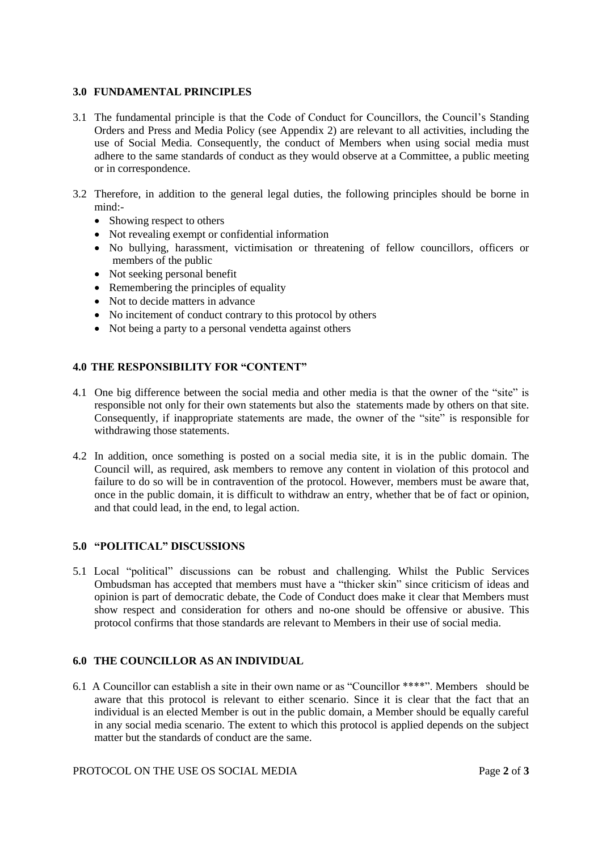## **3.0 FUNDAMENTAL PRINCIPLES**

- 3.1 The fundamental principle is that the Code of Conduct for Councillors, the Council's Standing Orders and Press and Media Policy (see Appendix 2) are relevant to all activities, including the use of Social Media. Consequently, the conduct of Members when using social media must adhere to the same standards of conduct as they would observe at a Committee, a public meeting or in correspondence.
- 3.2 Therefore, in addition to the general legal duties, the following principles should be borne in mind:-
	- Showing respect to others
	- Not revealing exempt or confidential information
	- No bullying, harassment, victimisation or threatening of fellow councillors, officers or members of the public
	- Not seeking personal benefit
	- Remembering the principles of equality
	- Not to decide matters in advance
	- No incitement of conduct contrary to this protocol by others
	- Not being a party to a personal vendetta against others

# **4.0 THE RESPONSIBILITY FOR "CONTENT"**

- 4.1 One big difference between the social media and other media is that the owner of the "site" is responsible not only for their own statements but also the statements made by others on that site. Consequently, if inappropriate statements are made, the owner of the "site" is responsible for withdrawing those statements.
- 4.2 In addition, once something is posted on a social media site, it is in the public domain. The Council will, as required, ask members to remove any content in violation of this protocol and failure to do so will be in contravention of the protocol. However, members must be aware that, once in the public domain, it is difficult to withdraw an entry, whether that be of fact or opinion, and that could lead, in the end, to legal action.

# **5.0 "POLITICAL" DISCUSSIONS**

5.1 Local "political" discussions can be robust and challenging. Whilst the Public Services Ombudsman has accepted that members must have a "thicker skin" since criticism of ideas and opinion is part of democratic debate, the Code of Conduct does make it clear that Members must show respect and consideration for others and no-one should be offensive or abusive. This protocol confirms that those standards are relevant to Members in their use of social media.

# **6.0 THE COUNCILLOR AS AN INDIVIDUAL**

6.1 A Councillor can establish a site in their own name or as "Councillor \*\*\*\*". Members should be aware that this protocol is relevant to either scenario. Since it is clear that the fact that an individual is an elected Member is out in the public domain, a Member should be equally careful in any social media scenario. The extent to which this protocol is applied depends on the subject matter but the standards of conduct are the same.